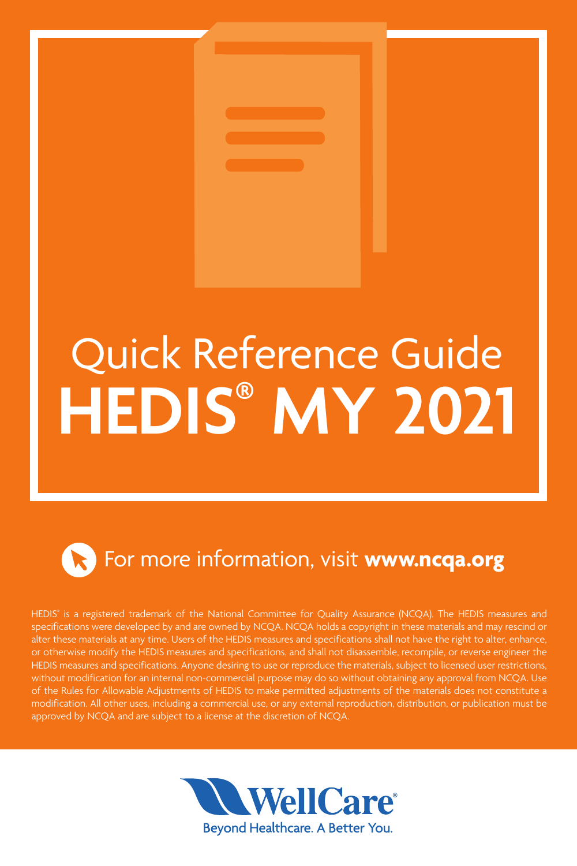# Quick Reference Guide **HEDIS® MY 2021**

### For more information, visit **www.ncqa.org**

HEDIS<sup>®</sup> is a registered trademark of the National Committee for Quality Assurance (NCQA). The HEDIS measures and specifications were developed by and are owned by NCQA. NCQA holds a copyright in these materials and may rescind or alter these materials at any time. Users of the HEDIS measures and specifications shall not have the right to alter, enhance, or otherwise modify the HEDIS measures and specifications, and shall not disassemble, recompile, or reverse engineer the HEDIS measures and specifications. Anyone desiring to use or reproduce the materials, subject to licensed user restrictions, without modification for an internal non-commercial purpose may do so without obtaining any approval from NCQA. Use of the Rules for Allowable Adjustments of HEDIS to make permitted adjustments of the materials does not constitute a modification. All other uses, including a commercial use, or any external reproduction, distribution, or publication must be approved by NCQA and are subject to a license at the discretion of NCQA.

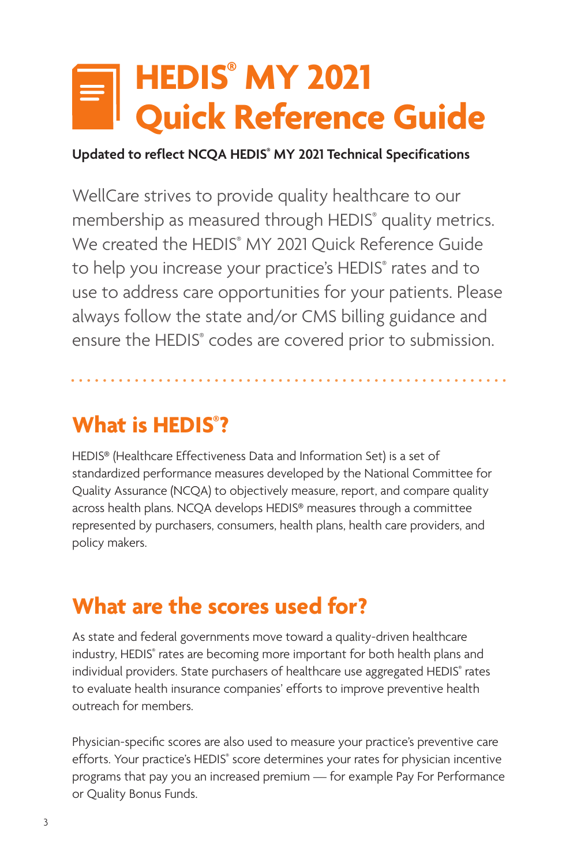## **HEDIS® MY 2021 Quick Reference Guide**

#### **Updated to reflect NCQA HEDIS® MY 2021 Technical Specifications**

WellCare strives to provide quality healthcare to our membership as measured through HEDIS® quality metrics. We created the HEDIS® MY 2021 Quick Reference Guide to help you increase your practice's HEDIS® rates and to use to address care opportunities for your patients. Please always follow the state and/or CMS billing guidance and ensure the HEDIS<sup>®</sup> codes are covered prior to submission.

#### **What is HEDIS® ?**

HEDIS® (Healthcare Effectiveness Data and Information Set) is a set of standardized performance measures developed by the National Committee for Quality Assurance (NCQA) to objectively measure, report, and compare quality across health plans. NCQA develops HEDIS® measures through a committee represented by purchasers, consumers, health plans, health care providers, and policy makers.

#### **What are the scores used for?**

As state and federal governments move toward a quality-driven healthcare industry, HEDIS® rates are becoming more important for both health plans and individual providers. State purchasers of healthcare use aggregated HEDIS® rates to evaluate health insurance companies' efforts to improve preventive health outreach for members.

Physician-specific scores are also used to measure your practice's preventive care efforts. Your practice's HEDIS® score determines your rates for physician incentive programs that pay you an increased premium — for example Pay For Performance or Quality Bonus Funds.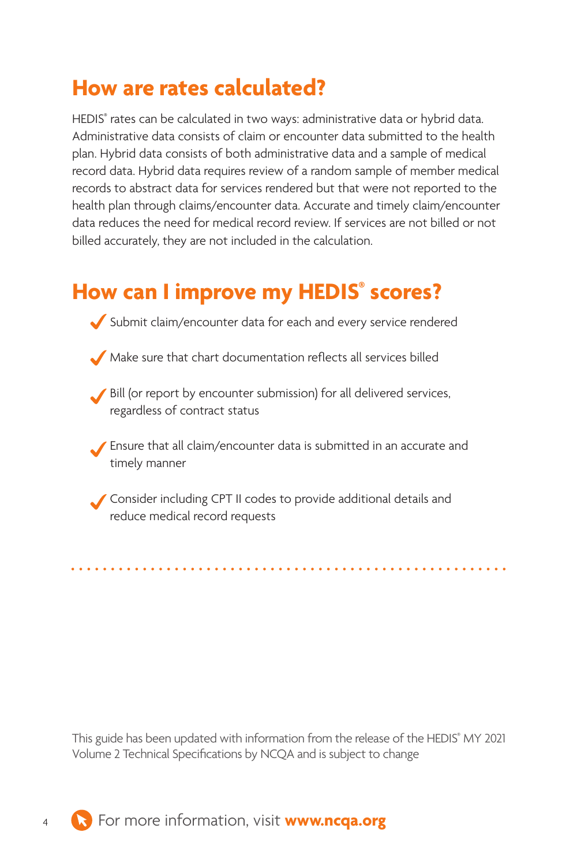#### **How are rates calculated?**

HEDIS® rates can be calculated in two ways: administrative data or hybrid data. Administrative data consists of claim or encounter data submitted to the health plan. Hybrid data consists of both administrative data and a sample of medical record data. Hybrid data requires review of a random sample of member medical records to abstract data for services rendered but that were not reported to the health plan through claims/encounter data. Accurate and timely claim/encounter data reduces the need for medical record review. If services are not billed or not billed accurately, they are not included in the calculation.

#### **How can I improve my HEDIS<sup>®</sup> scores?**

Submit claim/encounter data for each and every service rendered

Make sure that chart documentation reflects all services billed

 Bill (or report by encounter submission) for all delivered services, regardless of contract status

 Ensure that all claim/encounter data is submitted in an accurate and timely manner

 Consider including CPT II codes to provide additional details and reduce medical record requests

This guide has been updated with information from the release of the HEDIS® MY 2021 Volume 2 Technical Specifications by NCQA and is subject to change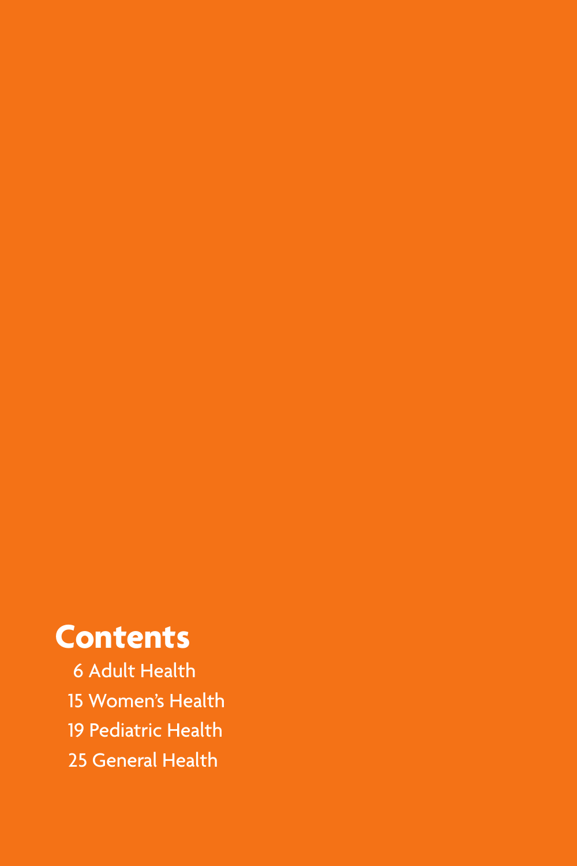## **Contents**

- 6 Adult Health
- 15 Women's Health
- 19 Pediatric Health
- 25 General Health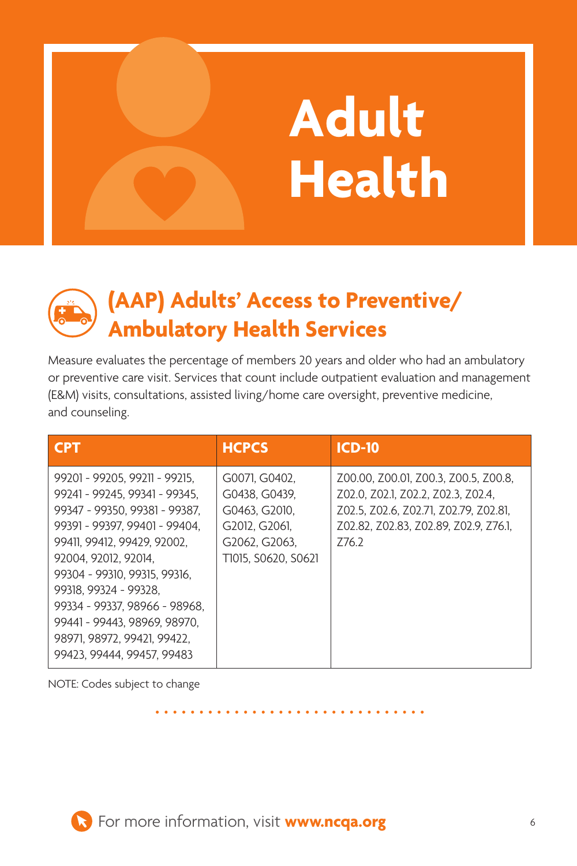# **Adult Health**

### **(AAP) Adults' Access to Preventive/ Ambulatory Health Services**

Measure evaluates the percentage of members 20 years and older who had an ambulatory or preventive care visit. Services that count include outpatient evaluation and management (E&M) visits, consultations, assisted living/home care oversight, preventive medicine, and counseling.

| <b>CPT</b>                                                                                                                                                                                                                                                                                                                                                                     | <b>HCPCS</b>                                                                                             | <b>ICD-10</b>                                                                                                                                                         |
|--------------------------------------------------------------------------------------------------------------------------------------------------------------------------------------------------------------------------------------------------------------------------------------------------------------------------------------------------------------------------------|----------------------------------------------------------------------------------------------------------|-----------------------------------------------------------------------------------------------------------------------------------------------------------------------|
| 99201 - 99205, 99211 - 99215,<br>99241 - 99245, 99341 - 99345,<br>99347 - 99350, 99381 - 99387,<br>99391 - 99397, 99401 - 99404,<br>99411, 99412, 99429, 92002.<br>92004. 92012. 92014.<br>99304 - 99310, 99315, 99316,<br>99318, 99324 - 99328.<br>99334 - 99337, 98966 - 98968.<br>99441 - 99443, 98969, 98970,<br>98971, 98972, 99421, 99422,<br>99423, 99444, 99457, 99483 | G0071. G0402.<br>G0438, G0439.<br>G0463, G2010,<br>G2012, G2061.<br>G2062. G2063.<br>T1015, S0620, S0621 | Z00.00, Z00.01, Z00.3, Z00.5, Z00.8,<br>Z02.0, Z02.1, Z02.2, Z02.3, Z02.4,<br>Z02.5, Z02.6, Z02.71, Z02.79, Z02.81,<br>Z02.82, Z02.83, Z02.89, Z02.9, Z76.1,<br>776.2 |

NOTE: Codes subject to change

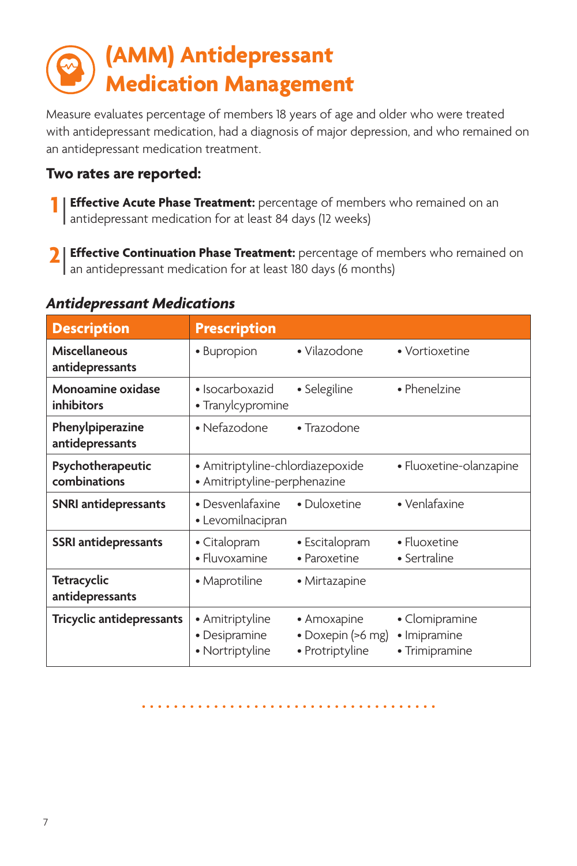### **(AMM) Antidepressant Medication Management**

Measure evaluates percentage of members 18 years of age and older who were treated with antidepressant medication, had a diagnosis of major depression, and who remained on an antidepressant medication treatment.

#### **Two rates are reported:**

**1 Effective Acute Phase Treatment:** percentage of members who remained on an antidepressant medication for at least 84 days (12 weeks)

**2 Effective Continuation Phase Treatment:** percentage of members who remained on an antidepressant medication for at least 180 days (6 months)

#### *Antidepressant Medications*

| <b>Description</b>                      | <b>Prescription</b>                                                                         |                                                     |                                                  |
|-----------------------------------------|---------------------------------------------------------------------------------------------|-----------------------------------------------------|--------------------------------------------------|
| <b>Miscellaneous</b><br>antidepressants | • Bupropion                                                                                 | • Vilazodone                                        | • Vortioxetine                                   |
| Monoamine oxidase<br>inhibitors         | • Isocarboxazid<br>• Tranylcypromine                                                        | · Selegiline                                        | • Phenelzine                                     |
| Phenylpiperazine<br>antidepressants     | • Nefazodone                                                                                | • Trazodone                                         |                                                  |
| Psychotherapeutic<br>combinations       | • Amitriptyline-chlordiazepoxide<br>• Fluoxetine-olanzapine<br>• Amitriptyline-perphenazine |                                                     |                                                  |
| <b>SNRI</b> antidepressants             | • Desvenlafaxine<br>• Levomilnacipran                                                       | • Duloxetine                                        | • Venlafaxine                                    |
| <b>SSRI</b> antidepressants             | • Citalopram<br>• Fluvoxamine                                                               | • Escitalopram<br>• Paroxetine                      | • Fluoxetine<br>• Sertraline                     |
| <b>Tetracyclic</b><br>antidepressants   | • Maprotiline                                                                               | • Mirtazapine                                       |                                                  |
| Tricyclic antidepressants               | • Amitriptyline<br>• Desipramine<br>• Nortriptyline                                         | • Amoxapine<br>• Doxepin (>6 mg)<br>• Protriptyline | • Clomipramine<br>• Imipramine<br>• Trimipramine |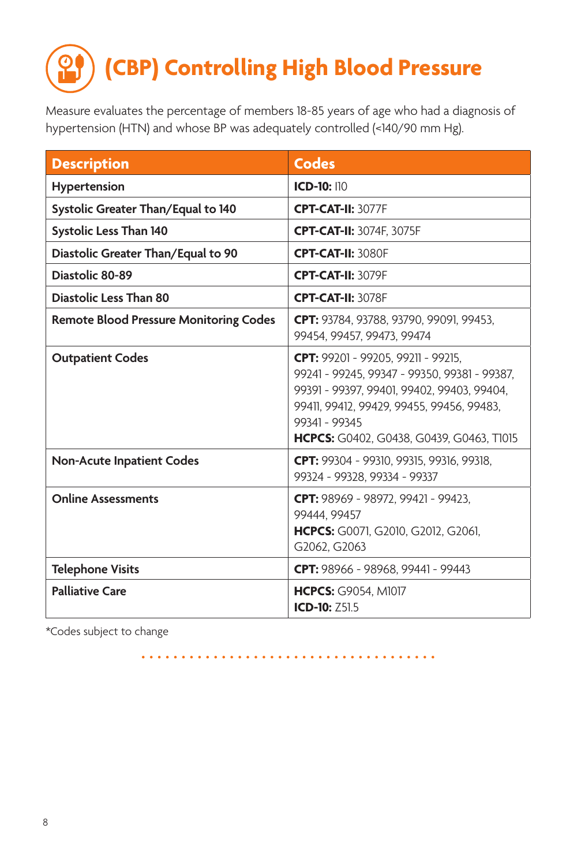## **(CBP) Controlling High Blood Pressure**

Measure evaluates the percentage of members 18-85 years of age who had a diagnosis of hypertension (HTN) and whose BP was adequately controlled (<140/90 mm Hg).

| <b>Description</b>                            | <b>Codes</b>                                                                                                                                                                                                                                      |
|-----------------------------------------------|---------------------------------------------------------------------------------------------------------------------------------------------------------------------------------------------------------------------------------------------------|
| Hypertension                                  | $ICD-10:110$                                                                                                                                                                                                                                      |
| Systolic Greater Than/Equal to 140            | <b>CPT-CAT-II: 3077F</b>                                                                                                                                                                                                                          |
| <b>Systolic Less Than 140</b>                 | <b>CPT-CAT-II: 3074F, 3075F</b>                                                                                                                                                                                                                   |
| Diastolic Greater Than/Equal to 90            | <b>CPT-CAT-II: 3080F</b>                                                                                                                                                                                                                          |
| Diastolic 80-89                               | <b>CPT-CAT-II: 3079F</b>                                                                                                                                                                                                                          |
| Diastolic Less Than 80                        | <b>CPT-CAT-II: 3078F</b>                                                                                                                                                                                                                          |
| <b>Remote Blood Pressure Monitoring Codes</b> | <b>CPT:</b> 93784, 93788, 93790, 99091, 99453,<br>99454, 99457, 99473, 99474                                                                                                                                                                      |
| <b>Outpatient Codes</b>                       | <b>CPT:</b> 99201 - 99205, 99211 - 99215,<br>99241 - 99245, 99347 - 99350, 99381 - 99387,<br>99391 - 99397, 99401, 99402, 99403, 99404,<br>99411, 99412, 99429, 99455, 99456, 99483,<br>99341 - 99345<br>HCPCS: G0402, G0438, G0439, G0463, T1015 |
| <b>Non-Acute Inpatient Codes</b>              | <b>CPT:</b> 99304 - 99310, 99315, 99316, 99318,<br>99324 - 99328, 99334 - 99337                                                                                                                                                                   |
| <b>Online Assessments</b>                     | <b>CPT:</b> 98969 - 98972, 99421 - 99423,<br>99444, 99457<br>HCPCS: G0071, G2010, G2012, G2061,<br>G2062, G2063                                                                                                                                   |
| <b>Telephone Visits</b>                       | <b>CPT:</b> 98966 - 98968, 99441 - 99443                                                                                                                                                                                                          |
| <b>Palliative Care</b>                        | <b>HCPCS:</b> G9054. M1017<br><b>ICD-10:</b> $Z51.5$                                                                                                                                                                                              |

\*Codes subject to change

. . . . . . . . . . . . . . . . . . . . . . . . .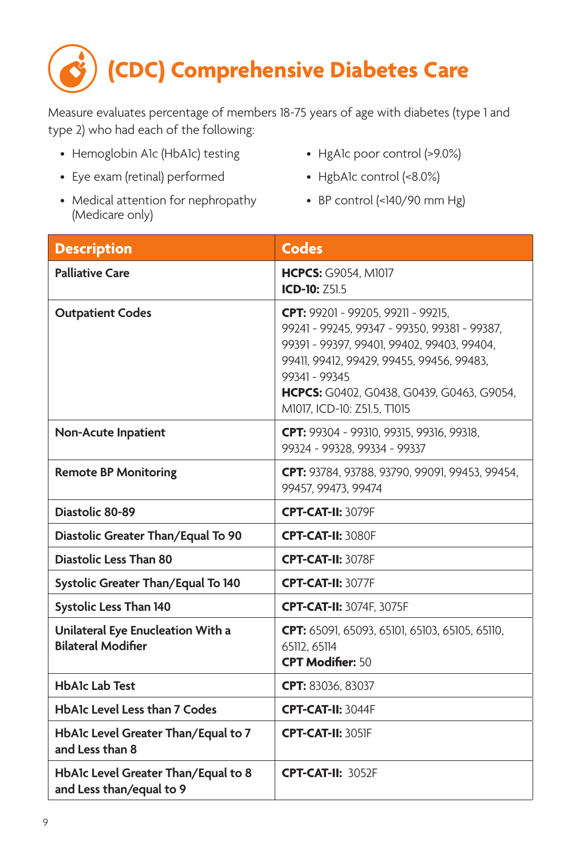## **(CDC) Comprehensive Diabetes Care**

Measure evaluates percentage of members 18-75 years of age with diabetes (type 1 and type 2) who had each of the following:

- Hemoglobin A1c (HbA1c) testing
- Eye exam (retinal) performed
- Medical attention for nephropathy (Medicare only)
- HgA1c poor control (>9.0%)
- HgbA1c control (<8.0%)
- BP control (<140/90 mm Hg)

| <b>Description</b>                                              | <b>Codes</b>                                                                                                                                                                                                                                                               |
|-----------------------------------------------------------------|----------------------------------------------------------------------------------------------------------------------------------------------------------------------------------------------------------------------------------------------------------------------------|
| <b>Palliative Care</b>                                          | <b>HCPCS: G9054, M1017</b><br>$ICD-10: 751.5$                                                                                                                                                                                                                              |
| <b>Outpatient Codes</b>                                         | CPT: 99201 - 99205, 99211 - 99215,<br>99241 - 99245, 99347 - 99350, 99381 - 99387,<br>99391 - 99397, 99401, 99402, 99403, 99404,<br>99411, 99412, 99429, 99455, 99456, 99483,<br>99341 - 99345<br>HCPCS: G0402, G0438, G0439, G0463, G9054,<br>M1017, ICD-10: Z51.5, T1015 |
| <b>Non-Acute Inpatient</b>                                      | CPT: 99304 - 99310, 99315, 99316, 99318,<br>99324 - 99328, 99334 - 99337                                                                                                                                                                                                   |
| <b>Remote BP Monitoring</b>                                     | CPT: 93784, 93788, 93790, 99091, 99453, 99454,<br>99457, 99473, 99474                                                                                                                                                                                                      |
| Diastolic 80-89                                                 | <b>CPT-CAT-II: 3079F</b>                                                                                                                                                                                                                                                   |
| Diastolic Greater Than/Equal To 90                              | <b>CPT-CAT-II: 3080F</b>                                                                                                                                                                                                                                                   |
| Diastolic Less Than 80                                          | <b>CPT-CAT-II: 3078F</b>                                                                                                                                                                                                                                                   |
| Systolic Greater Than/Equal To 140                              | <b>CPT-CAT-II: 3077F</b>                                                                                                                                                                                                                                                   |
| <b>Systolic Less Than 140</b>                                   | <b>CPT-CAT-II: 3074F, 3075F</b>                                                                                                                                                                                                                                            |
| Unilateral Eye Enucleation With a<br><b>Bilateral Modifier</b>  | <b>CPT:</b> 65091, 65093, 65101, 65103, 65105, 65110,<br>65112, 65114<br><b>CPT Modifier: 50</b>                                                                                                                                                                           |
| <b>HbA1c Lab Test</b>                                           | <b>CPT:</b> 83036, 83037                                                                                                                                                                                                                                                   |
| <b>HbA1c Level Less than 7 Codes</b>                            | <b>CPT-CAT-II: 3044F</b>                                                                                                                                                                                                                                                   |
| HbA1c Level Greater Than/Equal to 7<br>and Less than 8          | <b>CPT-CAT-II: 3051F</b>                                                                                                                                                                                                                                                   |
| HbA1c Level Greater Than/Equal to 8<br>and Less than/equal to 9 | $CPT-CAT-II: 3052F$                                                                                                                                                                                                                                                        |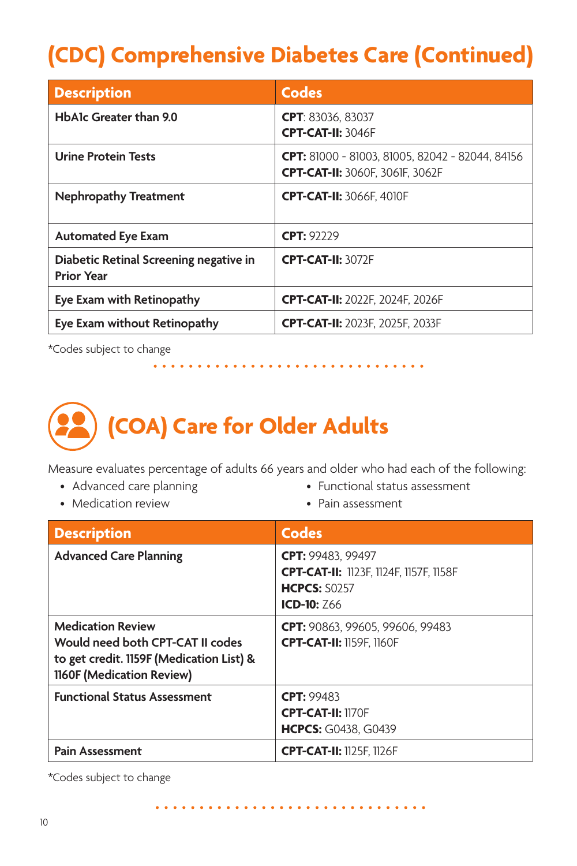### **(CDC) Comprehensive Diabetes Care (Continued)**

| <b>Description</b>                                          | <b>Codes</b>                                                                                     |
|-------------------------------------------------------------|--------------------------------------------------------------------------------------------------|
| <b>HbAlc Greater than 9.0</b>                               | <b>CPT: 83036, 83037</b><br><b>CPT-CAT-II: 3046F</b>                                             |
| <b>Urine Protein Tests</b>                                  | <b>CPT:</b> 81000 - 81003, 81005, 82042 - 82044, 84156<br><b>CPT-CAT-II:</b> 3060F, 3061F, 3062F |
| <b>Nephropathy Treatment</b>                                | <b>CPT-CAT-II: 3066F, 4010F</b>                                                                  |
| <b>Automated Eye Exam</b>                                   | CPT: 92229                                                                                       |
| Diabetic Retinal Screening negative in<br><b>Prior Year</b> | <b>CPT-CAT-II: 3072F</b>                                                                         |
| Eye Exam with Retinopathy                                   | <b>CPT-CAT-II:</b> 2022F, 2024F, 2026F                                                           |
| Eye Exam without Retinopathy                                | <b>CPT-CAT-II:</b> 2023F, 2025F, 2033F                                                           |

\*Codes subject to change



Measure evaluates percentage of adults 66 years and older who had each of the following:

- Advanced care planning
- Medication review
- Functional status assessment
- Pain assessment

| <b>Description</b>                                                                                                                    | <b>Codes</b>                                                                                                             |
|---------------------------------------------------------------------------------------------------------------------------------------|--------------------------------------------------------------------------------------------------------------------------|
| <b>Advanced Care Planning</b>                                                                                                         | <b>CPT: 99483. 99497</b><br><b>CPT-CAT-II: 1123F, 1124F, 1157F, 1158F</b><br><b>HCPCS: S0257</b><br><b>ICD-10:</b> $Z66$ |
| <b>Medication Review</b><br>Would need both CPT-CAT II codes<br>to get credit. 1159F (Medication List) &<br>1160F (Medication Review) | CPT: 90863, 99605, 99606, 99483<br><b>CPT-CAT-II: 1159F, 1160F</b>                                                       |
| <b>Functional Status Assessment</b>                                                                                                   | CPT: 99483<br><b>CPT-CAT-II: 1170F</b><br><b>HCPCS: G0438. G0439</b>                                                     |
| <b>Pain Assessment</b>                                                                                                                | <b>CPT-CAT-II: 1125F. 1126F</b>                                                                                          |

\*Codes subject to change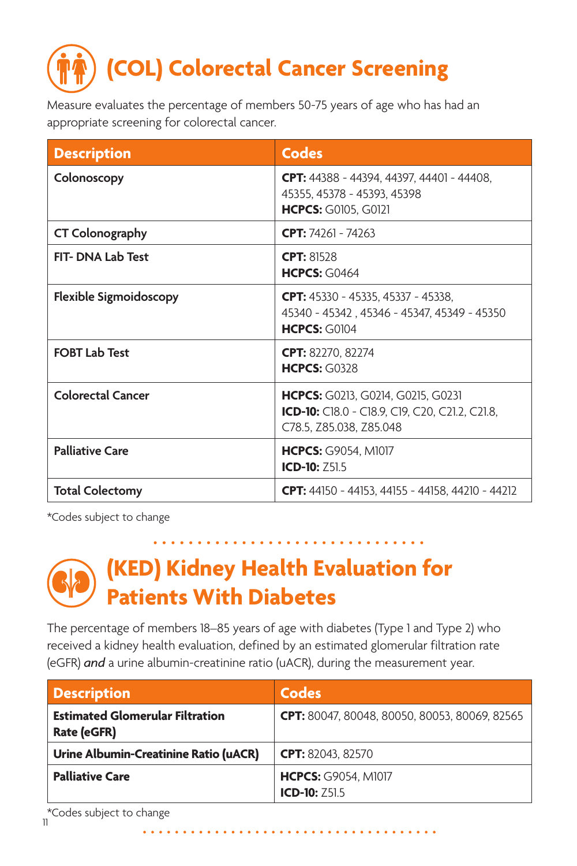

Measure evaluates the percentage of members 50-75 years of age who has had an appropriate screening for colorectal cancer.

| <b>Description</b>            | <b>Codes</b>                                                                                                          |
|-------------------------------|-----------------------------------------------------------------------------------------------------------------------|
| Colonoscopy                   | <b>CPT:</b> 44388 - 44394, 44397, 44401 - 44408,<br>45355, 45378 - 45393, 45398<br><b>HCPCS: G0105, G0121</b>         |
| <b>CT Colonography</b>        | <b>CPT:</b> 74261 - 74263                                                                                             |
| FIT-DNA Lab Test              | CPT: 81528<br><b>HCPCS: G0464</b>                                                                                     |
| <b>Flexible Sigmoidoscopy</b> | <b>CPT:</b> 45330 - 45335, 45337 - 45338,<br>45340 - 45342, 45346 - 45347, 45349 - 45350<br><b>HCPCS: G0104</b>       |
| <b>FOBT Lab Test</b>          | <b>CPT:</b> 82270, 82274<br><b>HCPCS: G0328</b>                                                                       |
| <b>Colorectal Cancer</b>      | <b>HCPCS:</b> G0213, G0214, G0215, G0231<br>ICD-10: C18.0 - C18.9, C19, C20, C21.2, C21.8,<br>C78.5, Z85.038, Z85.048 |
| <b>Palliative Care</b>        | <b>HCPCS:</b> G9054, M1017<br>$ICD-10:751.5$                                                                          |
| <b>Total Colectomy</b>        | <b>CPT:</b> 44150 - 44153, 44155 - 44158, 44210 - 44212                                                               |

\*Codes subject to change

#### **(KED) Kidney Health Evaluation for Patients With Diabetes**

The percentage of members 18–85 years of age with diabetes (Type 1 and Type 2) who received a kidney health evaluation, defined by an estimated glomerular filtration rate (eGFR) *and* a urine albumin-creatinine ratio (uACR), during the measurement year.

| <b>Description</b>                                           | Codes                                                |
|--------------------------------------------------------------|------------------------------------------------------|
| <b>Estimated Glomerular Filtration</b><br><b>Rate (eGFR)</b> | <b>CPT:</b> 80047, 80048, 80050, 80053, 80069, 82565 |
| Urine Albumin-Creatinine Ratio (uACR)                        | <b>CPT:</b> 82043, 82570                             |
| <b>Palliative Care</b>                                       | <b>HCPCS:</b> G9054, M1017<br><b>ICD-10:</b> $Z51.5$ |

\*Codes subject to change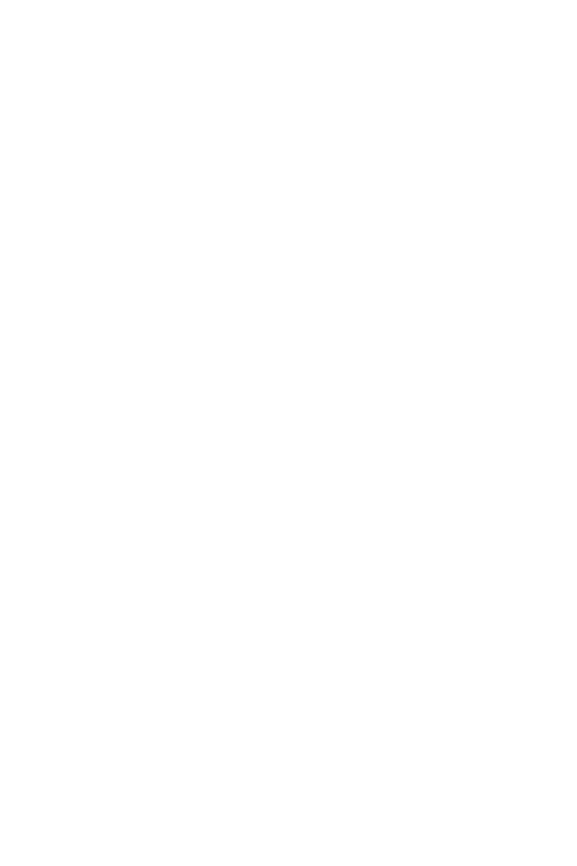#### **How are rates calculated?**

EDIS® M10dU2Mn0cMyUMn0NnAN0dUaMYcMdboMb0T2)M0atYcY2d10dYPUMa0d0Mo1Mf hatYcY2d10dYPUMa0d0Mnoc2Y2d2MorMnN0YtMo1MUcnoAcdU1Ma0d0M2AytYddUaMdo xN0cuMETy1YaMa0d0Mnoc2Y2d2MorMyodfM0atYcY2d10dYPUMa0d0M0caM0M20txNUM 1Uno1aMa0d0uMETy1YaMa0d0M1U8AY1U2M1UPYUbMorM0M10caotM20txNUMorMtUtyU1N 1Uno1a2MdoM0y2d10ndMa0d0Mro1M2U1PYnU2M1UcaU1UaMyAdMdf0dMbU1UMcodM1Uxo1 fU0NdfMxN0cMdfloApfMnN0Yt2fiUcnoAcdU1Ma0d0uMhnnA10dUM0caMdYtUNTMnN0Yt a0d0M1UaAnU2MdfUMcUUaMro1MtUaYn0NM1Uno1aM1UPYUbuMSrM2U1PYnU2M01UMcod yYNNUaM0nnA10dUNTRMdfUTM01UMcodMYcnNAaUaMYcMdfUMn0NnAN0dYocuM

#### How can I improve my HEDIS° scores?

èAytYdMnN0YtfiUcnoAcdU1Ma0d0Mro1MU0nfM0caMUPU1TM2U1PYnUM1UcaU1UaM

- -0eUM2A1UMdf0dMnf01dMaonAtUcd0dYocM1U6Und2M0NNM2U1PYnU2MyYNNUa
- FYNNMio1M1Uxo1dMyTMUcnoAcdU1M2AytY22YocsMro1M0NNMaUNYPU1UaM2U1P 1Up01aNU22MorMnocd10ndM2d0dA2M
- Dc2A1UMdf0dM0NNMnN0YtfiUcnoAcdU1Ma0d0MY2M2AytYddUaMYcM0cM0nnA10 dYtUNTMt0ccUIM
- / Coc2YaU1MYcnNAaYcpMCWmMSSMnoaU2MdoMx1oPYaUM0aaYdYoc0NMaUd0YN 1UaAnUMtUaYn0NM1Uno1aM1U8AU2d2M

mfY2MpAYaUMf02MyUUcMAxa0dUaMbYdfMYcro1t0dYocMrlotMdfUMWBIN@DdMMdfUM &oNAtUMgMmUnfcYn0NM®xUnY.n0dYoc2MyTMlCQhM0caMY2M2AyGUndMdoMnf0cpUM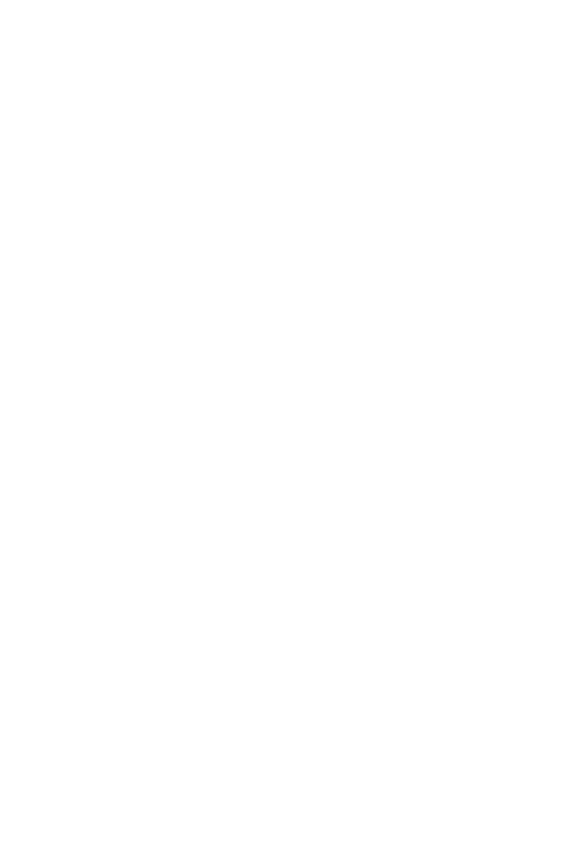# HEDIS® MYM2M0IM®1EDU w.nc <sup>q</sup>aoragHgE

## pd2®ad2M®D0Yd2ateDd0o®rDfDe

HEDIS is a registered trademark of the National Committee for Quality Assurance (NCQA). The HEDIS measures and specifications were developed by and are owned by NCQA. NCQA holds a copyright in these materials and may rescind or alter these materials at any time. Users of the HEDIS measures and specifications shall not have the right to alter, enhance, or otherwise modify the HEDIS measures and specifications, and shall not disassemble, recompile, or reverse engineer the HEDIS measures and specifications. Anyone desiring to use or reproduce the materials, subject to licensed user restrictions, without modification for an internal non-commercial purpose may do so without obtaining any approval from NCQA. Use of the Rules for Allowable Adjustments of HEDIS to make permitted adjustments of the materials does not constitute a modification. All other uses, including a commercial use, or any external reproduction, distribution, or publication must be approved by NCQA and are subject to a license at the discretion of NCQA.

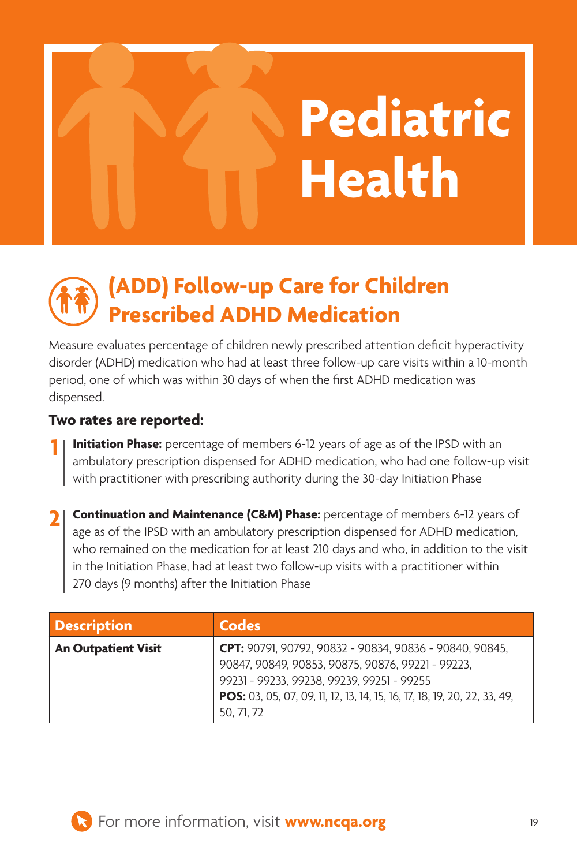# **Pediatric Health**

#### **(ADD) Follow-up Care for Children Prescribed ADHD Medication**

Measure evaluates percentage of children newly prescribed attention deficit hyperactivity disorder (ADHD) medication who had at least three follow-up care visits within a 10-month period, one of which was within 30 days of when the first ADHD medication was dispensed.

#### **Two rates are reported:**

- **Initiation Phase:** percentage of members 6-12 years of age as of the IPSD with an ambulatory prescription dispensed for ADHD medication, who had one follow-up visit with practitioner with prescribing authority during the 30-day Initiation Phase
- **2 Continuation and Maintenance (C&M) Phase:** percentage of members 6-12 years of age as of the IPSD with an ambulatory prescription dispensed for ADHD medication, who remained on the medication for at least 210 days and who, in addition to the visit in the Initiation Phase, had at least two follow-up visits with a practitioner within 270 days (9 months) after the Initiation Phase

| <b>Description</b>         | Codes                                                                                                                                                                                                                                                              |
|----------------------------|--------------------------------------------------------------------------------------------------------------------------------------------------------------------------------------------------------------------------------------------------------------------|
| <b>An Outpatient Visit</b> | <b>CPT:</b> 90791, 90792, 90832 - 90834, 90836 - 90840, 90845,<br>90847, 90849, 90853, 90875, 90876, 99221 - 99223,<br>99231 - 99233, 99238, 99239, 99251 - 99255<br><b>POS:</b> 03, 05, 07, 09, 11, 12, 13, 14, 15, 16, 17, 18, 19, 20, 22, 33, 49,<br>50, 71, 72 |



**For more information, visit www.ncqa.org** 19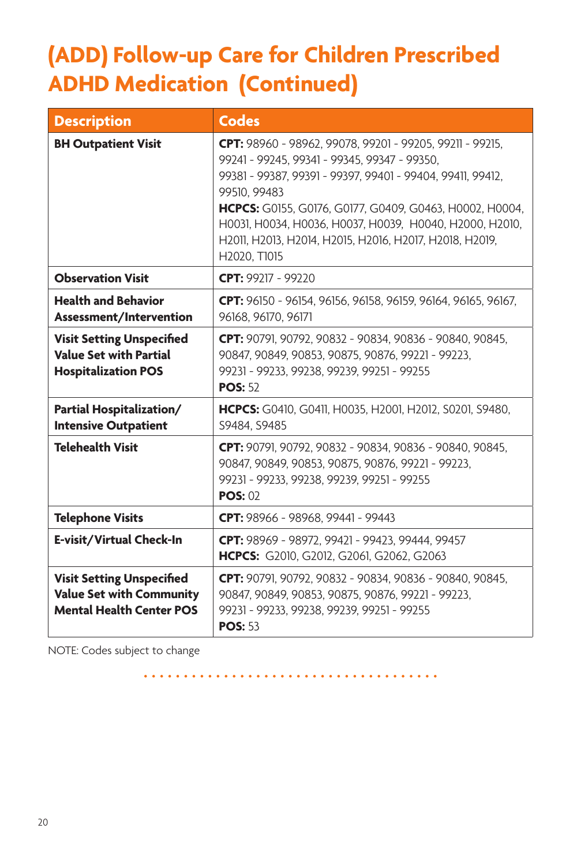#### **(ADD) Follow-up Care for Children Prescribed ADHD Medication (Continued)**

| <b>Description</b>                                                                                     | <b>Codes</b>                                                                                                                                                                                                                                                                                                                                                                                                                                                                                    |
|--------------------------------------------------------------------------------------------------------|-------------------------------------------------------------------------------------------------------------------------------------------------------------------------------------------------------------------------------------------------------------------------------------------------------------------------------------------------------------------------------------------------------------------------------------------------------------------------------------------------|
| <b>BH Outpatient Visit</b>                                                                             | CPT: 98960 - 98962, 99078, 99201 - 99205, 99211 - 99215,<br>99241 - 99245, 99341 - 99345, 99347 - 99350,<br>99381 - 99387, 99391 - 99397, 99401 - 99404, 99411, 99412,<br>99510, 99483<br>HCPCS: G0155, G0176, G0177, G0409, G0463, H0002, H0004,<br>НООЗІ, НООЗ4, НООЗ6, НООЗ7, НООЗ9, НОО40, Н2ООО, Н2О10,<br>H <sub>2011</sub> , H <sub>2013</sub> , H <sub>2014</sub> , H <sub>2015</sub> , H <sub>2016</sub> , H <sub>2017</sub> , H <sub>2018</sub> , H <sub>2019</sub> ,<br>H2020, T1015 |
| <b>Observation Visit</b>                                                                               | CPT: 99217 - 99220                                                                                                                                                                                                                                                                                                                                                                                                                                                                              |
| <b>Health and Behavior</b><br>Assessment/Intervention                                                  | CPT: 96150 - 96154, 96156, 96158, 96159, 96164, 96165, 96167,<br>96168, 96170, 96171                                                                                                                                                                                                                                                                                                                                                                                                            |
| <b>Visit Setting Unspecified</b><br><b>Value Set with Partial</b><br><b>Hospitalization POS</b>        | CPT: 90791, 90792, 90832 - 90834, 90836 - 90840, 90845,<br>90847, 90849, 90853, 90875, 90876, 99221 - 99223,<br>99231 - 99233, 99238, 99239, 99251 - 99255<br><b>POS: 52</b>                                                                                                                                                                                                                                                                                                                    |
| Partial Hospitalization/<br><b>Intensive Outpatient</b>                                                | <b>HCPCS:</b> G0410, G0411, H0035, H2001, H2012, S0201, S9480,<br>S9484, S9485                                                                                                                                                                                                                                                                                                                                                                                                                  |
| <b>Telehealth Visit</b>                                                                                | CPT: 90791, 90792, 90832 - 90834, 90836 - 90840, 90845,<br>90847, 90849, 90853, 90875, 90876, 99221 - 99223,<br>99231 - 99233, 99238, 99239, 99251 - 99255<br><b>POS: 02</b>                                                                                                                                                                                                                                                                                                                    |
| <b>Telephone Visits</b>                                                                                | <b>CPT:</b> 98966 - 98968, 99441 - 99443                                                                                                                                                                                                                                                                                                                                                                                                                                                        |
| E-visit/Virtual Check-In                                                                               | CPT: 98969 - 98972, 99421 - 99423, 99444, 99457<br>HCPCS: G2010, G2012, G2061, G2062, G2063                                                                                                                                                                                                                                                                                                                                                                                                     |
| <b>Visit Setting Unspecified</b><br><b>Value Set with Community</b><br><b>Mental Health Center POS</b> | CPT: 90791, 90792, 90832 - 90834, 90836 - 90840, 90845,<br>90847, 90849, 90853, 90875, 90876, 99221 - 99223,<br>99231 - 99233, 99238, 99239, 99251 - 99255<br><b>POS: 53</b>                                                                                                                                                                                                                                                                                                                    |

NOTE: Codes subject to change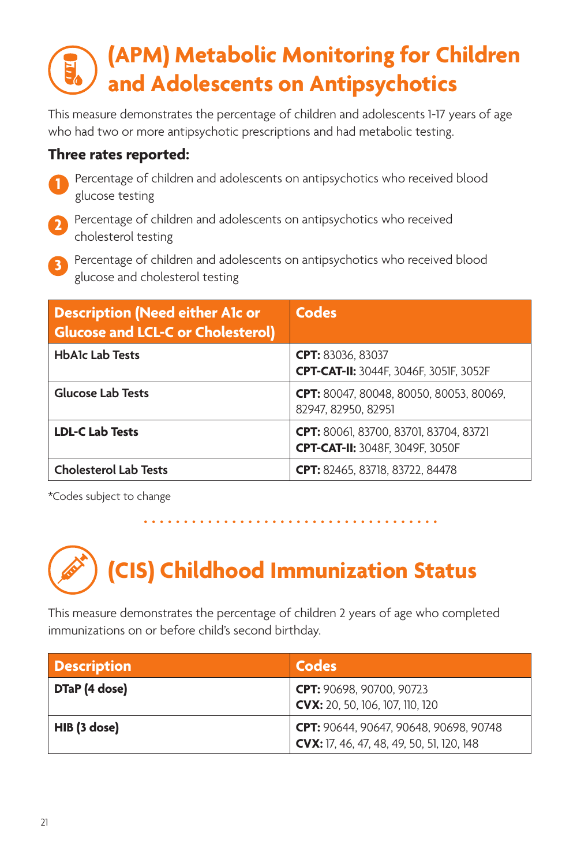### **(APM) Metabolic Monitoring for Children and Adolescents on Antipsychotics**

This measure demonstrates the percentage of children and adolescents 1-17 years of age who had two or more antipsychotic prescriptions and had metabolic testing.

#### **Three rates reported:**

- **1** Percentage of children and adolescents on antipsychotics who received blood glucose testing
- **2** Percentage of children and adolescents on antipsychotics who received cholesterol testing
- **3** Percentage of children and adolescents on antipsychotics who received blood glucose and cholesterol testing

| <b>Description (Need either A1c or</b><br><b>Glucose and LCL-C or Cholesterol)</b> | <b>Codes</b>                                                                            |
|------------------------------------------------------------------------------------|-----------------------------------------------------------------------------------------|
| <b>HbAlc Lab Tests</b>                                                             | <b>CPT:</b> 83036, 83037<br><b>CPT-CAT-II:</b> 3044F, 3046F, 3051F, 3052F               |
| <b>Glucose Lab Tests</b>                                                           | <b>CPT:</b> 80047, 80048, 80050, 80053, 80069,<br>82947, 82950, 82951                   |
| <b>LDL-C Lab Tests</b>                                                             | <b>CPT:</b> 80061, 83700, 83701, 83704, 83721<br><b>CPT-CAT-II:</b> 3048F, 3049F, 3050F |
| <b>Cholesterol Lab Tests</b>                                                       | <b>CPT:</b> 82465, 83718, 83722, 84478                                                  |

\*Codes subject to change

## **(CIS) Childhood Immunization Status**

This measure demonstrates the percentage of children 2 years of age who completed immunizations on or before child's second birthday.

| <b>Description</b> | Codes                                                                                      |
|--------------------|--------------------------------------------------------------------------------------------|
| DTaP (4 dose)      | <b>CPT:</b> 90698, 90700, 90723<br><b>CVX:</b> 20, 50, 106, 107, 110, 120                  |
| HIB (3 dose)       | <b>CPT:</b> 90644, 90647, 90648, 90698, 90748<br>CVX: 17, 46, 47, 48, 49, 50, 51, 120, 148 |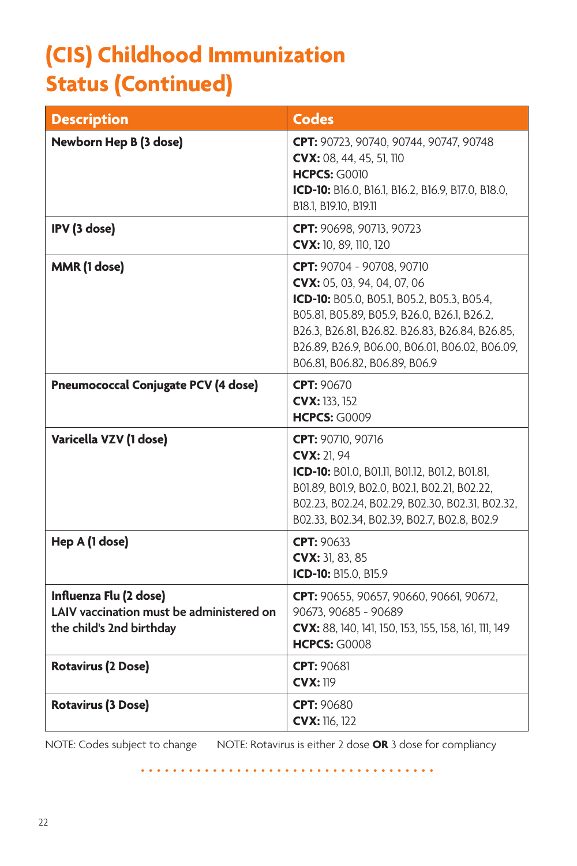### **(CIS) Childhood Immunization Status (Continued)**

| <b>Description</b>                                                                             | <b>Codes</b>                                                                                                                                                                                                                                                                                      |
|------------------------------------------------------------------------------------------------|---------------------------------------------------------------------------------------------------------------------------------------------------------------------------------------------------------------------------------------------------------------------------------------------------|
| Newborn Hep B (3 dose)                                                                         | CPT: 90723, 90740, 90744, 90747, 90748<br>CVX: 08, 44, 45, 51, 110<br><b>HCPCS: G0010</b><br>ICD-10: B16.0, B16.1, B16.2, B16.9, B17.0, B18.0,<br>B18.1, B19.10, B19.11                                                                                                                           |
| IPV (3 dose)                                                                                   | CPT: 90698, 90713, 90723<br>CVX: 10, 89, 110, 120                                                                                                                                                                                                                                                 |
| MMR (1 dose)                                                                                   | <b>CPT:</b> 90704 - 90708, 90710<br>CVX: 05, 03, 94, 04, 07, 06<br>ICD-10: B05.0, B05.1, B05.2, B05.3, B05.4,<br>B05.81, B05.89, B05.9, B26.0, B26.1, B26.2,<br>B26.3, B26.81, B26.82. B26.83, B26.84, B26.85,<br>B26.89, B26.9, B06.00, B06.01, B06.02, B06.09,<br>B06.81, B06.82, B06.89, B06.9 |
| <b>Pneumococcal Conjugate PCV (4 dose)</b>                                                     | CPT: 90670<br>CVX: 133. 152<br><b>HCPCS: G0009</b>                                                                                                                                                                                                                                                |
| Varicella VZV (1 dose)                                                                         | CPT: 90710, 90716<br><b>CVX: 21, 94</b><br><b>ICD-10:</b> B01.0, B01.11, B01.12, B01.2, B01.81,<br>B01.89, B01.9, B02.0, B02.1, B02.21, B02.22,<br>B02.23, B02.24, B02.29, B02.30, B02.31, B02.32,<br>B02.33, B02.34, B02.39, B02.7, B02.8, B02.9                                                 |
| Hep A (1 dose)                                                                                 | <b>CPT: 90633</b><br><b>CVX:</b> 31, 83, 85<br>ICD-10: B15.0, B15.9                                                                                                                                                                                                                               |
| Influenza Flu (2 dose)<br>LAIV vaccination must be administered on<br>the child's 2nd birthday | CPT: 90655, 90657, 90660, 90661, 90672,<br>90673, 90685 - 90689<br>CVX: 88, 140, 141, 150, 153, 155, 158, 161, 111, 149<br><b>HCPCS: G0008</b>                                                                                                                                                    |
| <b>Rotavirus (2 Dose)</b>                                                                      | CPT: 90681<br>CVX: 119                                                                                                                                                                                                                                                                            |
| <b>Rotavirus (3 Dose)</b>                                                                      | <b>CPT: 90680</b><br><b>CVX: 116, 122</b>                                                                                                                                                                                                                                                         |

NOTE: Codes subject to change NOTE: Rotavirus is either 2 dose **OR** 3 dose for compliancy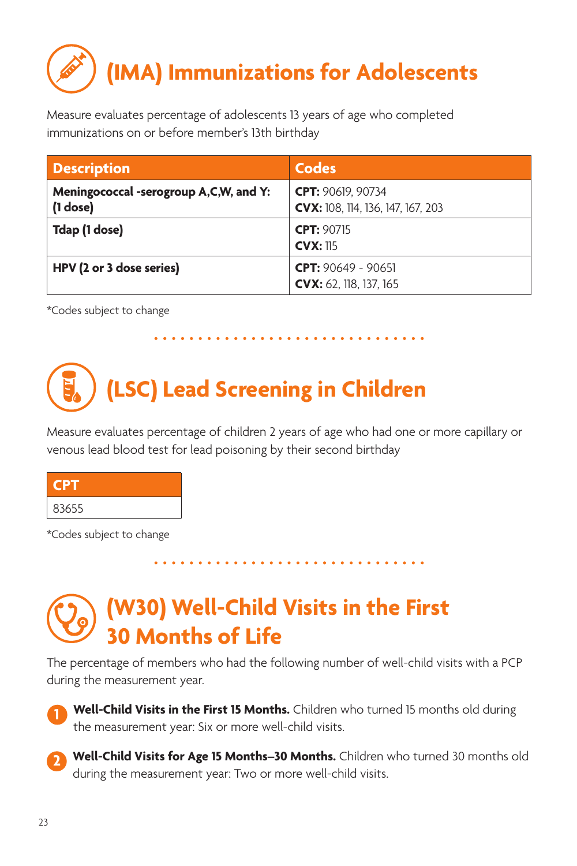## **(IMA) Immunizations for Adolescents**

Measure evaluates percentage of adolescents 13 years of age who completed immunizations on or before member's 13th birthday

| <b>Description</b>                                      | Codes                                                                |
|---------------------------------------------------------|----------------------------------------------------------------------|
| Meningococcal -serogroup A,C,W, and Y:<br>$(1$ dose $)$ | <b>CPT: 90619, 90734</b><br><b>CVX:</b> 108, 114, 136, 147, 167, 203 |
| Tdap (1 dose)                                           | <b>CPT: 90715</b><br>CVX: 115                                        |
| HPV (2 or 3 dose series)                                | <b>CPT:</b> 90649 - 90651<br><b>CVX:</b> 62, 118, 137, 165           |

\*Codes subject to change

## **(LSC) Lead Screening in Children**

Measure evaluates percentage of children 2 years of age who had one or more capillary or venous lead blood test for lead poisoning by their second birthday

| 83655 |  |
|-------|--|

\*Codes subject to change

#### **(W30) Well-Child Visits in the First 30 Months of Life**

The percentage of members who had the following number of well-child visits with a PCP during the measurement year.



**1 Well-Child Visits in the First 15 Months.** Children who turned 15 months old during the measurement year: Six or more well-child visits.



**2 Well-Child Visits for Age 15 Months–30 Months.** Children who turned 30 months old during the measurement year: Two or more well-child visits.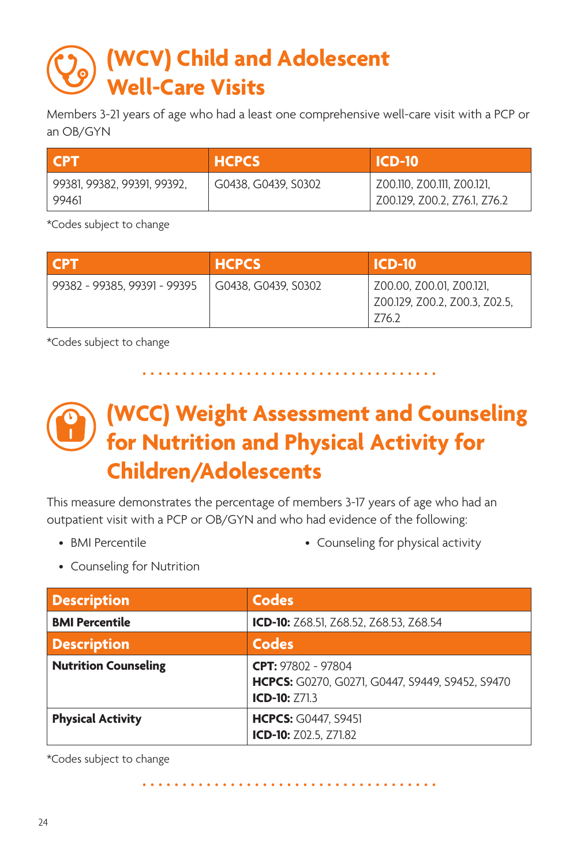### **(WCV) Child and Adolescent Well-Care Visits**

Members 3-21 years of age who had a least one comprehensive well-care visit with a PCP or an OB/GYN

| <b>CPT</b>                           | <b>HCPCS</b>        | $ICD-10$                                                   |
|--------------------------------------|---------------------|------------------------------------------------------------|
| 99381, 99382, 99391, 99392,<br>99461 | G0438, G0439, S0302 | Z00.110, Z00.111, Z00.121,<br>Z00.129, Z00.2, Z76.1, Z76.2 |

\*Codes subject to change

| <b>CPT</b>                                         | <b>HCPCS</b> | $ICD-10$                                                           |
|----------------------------------------------------|--------------|--------------------------------------------------------------------|
| 99382 - 99385, 99391 - 99395   G0438, G0439, S0302 |              | Z00.00, Z00.01, Z00.121,<br>Z00.129, Z00.2, Z00.3, Z02.5,<br>Z76.2 |

\*Codes subject to change

**(WCC) Weight Assessment and Counseling for Nutrition and Physical Activity for Children/Adolescents** 

This measure demonstrates the percentage of members 3-17 years of age who had an outpatient visit with a PCP or OB/GYN and who had evidence of the following:

- 
- BMI Percentile Counseling for physical activity
- Counseling for Nutrition

| <b>Description</b>          | <b>Codes</b>                                                                                      |
|-----------------------------|---------------------------------------------------------------------------------------------------|
| <b>BMI Percentile</b>       | ICD-10: Z68.51, Z68.52, Z68.53, Z68.54                                                            |
| <b>Description</b>          | <b>Codes</b>                                                                                      |
| <b>Nutrition Counseling</b> | <b>CPT:</b> $97802 - 97804$<br>HCPCS: G0270, G0271, G0447, S9449, S9452, S9470<br>$ICD-10: Z71.3$ |
| <b>Physical Activity</b>    | <b>HCPCS: G0447, S9451</b><br>ICD-10: Z02.5, Z71.82                                               |

\*Codes subject to change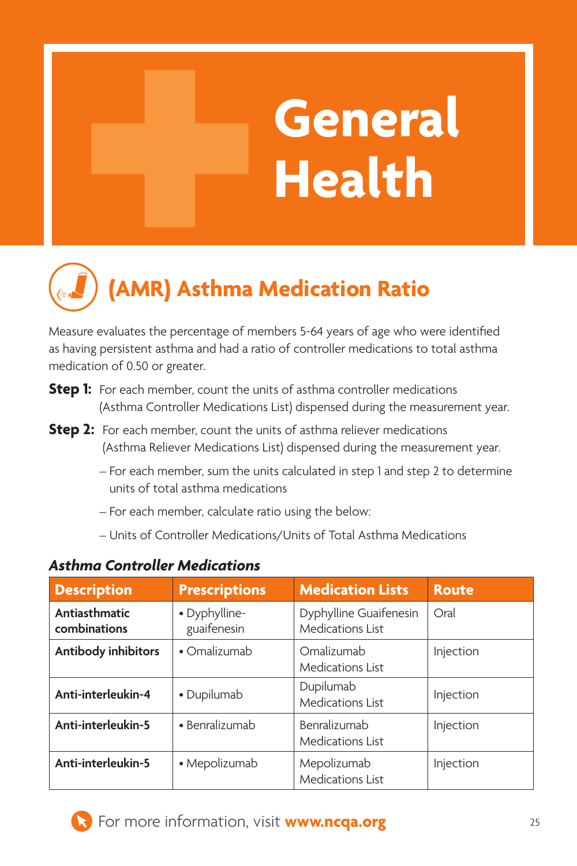# **General Health**



Measure evaluates the percentage of members 5-64 years of age who were identified as having persistent asthma and had a ratio of controller medications to total asthma medication of 0.50 or greater.

- **Step 1:** For each member, count the units of asthma controller medications (Asthma Controller Medications List) dispensed during the measurement year.
- **Step 2:** For each member, count the units of asthma reliever medications (Asthma Reliever Medications List) dispensed during the measurement year.
	- – For each member, sum the units calculated in step 1 and step 2 to determine units of total asthma medications
	- For each member, calculate ratio using the below:
	- Units of Controller Medications/Units of Total Asthma Medications

| <b>Description</b>            | <b>Prescriptions</b>         | <b>Medication Lists</b>                    | <b>Route</b> |
|-------------------------------|------------------------------|--------------------------------------------|--------------|
| Antiasthmatic<br>combinations | · Dyphylline-<br>guaifenesin | Dyphylline Guaifenesin<br>Medications List | Oral         |
| <b>Antibody inhibitors</b>    | $\bullet$ Omalizumab         | Omalizumah<br><b>Medications List</b>      | Injection    |
| Anti-interleukin-4            | • Dupilumab                  | Dupilumab<br>Medications List              | Injection    |
| Anti-interleukin-5            | • Benralizumab               | Benralizumab<br><b>Medications List</b>    | Injection    |
| Anti-interleukin-5            | • Mepolizumab                | Mepolizumab<br>Medications List            | Injection    |

#### *Asthma Controller Medications*

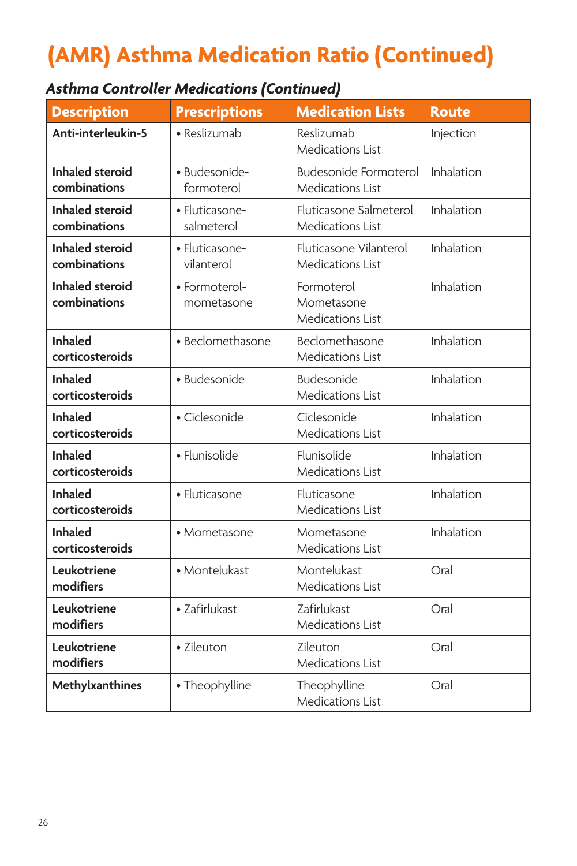### **(AMR) Asthma Medication Ratio (Continued)**

| <b>Description</b>                     | <b>Prescriptions</b>         | <b>Medication Lists</b>                                 | <b>Route</b> |
|----------------------------------------|------------------------------|---------------------------------------------------------|--------------|
| Anti-interleukin-5                     | · Reslizumab                 | Reslizumab<br><b>Medications List</b>                   | Injection    |
| Inhaled steroid<br>combinations        | · Budesonide-<br>formoterol  | <b>Budesonide Formoterol</b><br><b>Medications List</b> | Inhalation   |
| <b>Inhaled steroid</b><br>combinations | • Fluticasone-<br>salmeterol | Fluticasone Salmeterol<br><b>Medications List</b>       | Inhalation   |
| Inhaled steroid<br>combinations        | • Fluticasone-<br>vilanterol | Fluticasone Vilanterol<br><b>Medications List</b>       | Inhalation   |
| Inhaled steroid<br>combinations        | • Formoterol-<br>mometasone  | Formoterol<br>Mometasone<br><b>Medications List</b>     | Inhalation   |
| <b>Inhaled</b><br>corticosteroids      | • Beclomethasone             | Beclomethasone<br><b>Medications List</b>               | Inhalation   |
| <b>Inhaled</b><br>corticosteroids      | · Budesonide                 | Budesonide<br><b>Medications List</b>                   | Inhalation   |
| <b>Inhaled</b><br>corticosteroids      | · Ciclesonide                | Ciclesonide<br><b>Medications List</b>                  | Inhalation   |
| <b>Inhaled</b><br>corticosteroids      | · Flunisolide                | Flunisolide<br><b>Medications List</b>                  | Inhalation   |
| <b>Inhaled</b><br>corticosteroids      | • Fluticasone                | Fluticasone<br><b>Medications List</b>                  | Inhalation   |
| <b>Inhaled</b><br>corticosteroids      | • Mometasone                 | Mometasone<br><b>Medications List</b>                   | Inhalation   |
| Leukotriene<br>modifiers               | · Montelukast                | Montelukast<br><b>Medications List</b>                  | Oral         |
| Leukotriene<br>modifiers               | · Zafirlukast                | Zafirlukast<br><b>Medications List</b>                  | Oral         |
| Leukotriene<br>modifiers               | · Zileuton                   | Zileuton<br><b>Medications List</b>                     | Oral         |
| Methylxanthines                        | • Theophylline               | Theophylline<br><b>Medications List</b>                 | Oral         |

#### *Asthma Controller Medications (Continued)*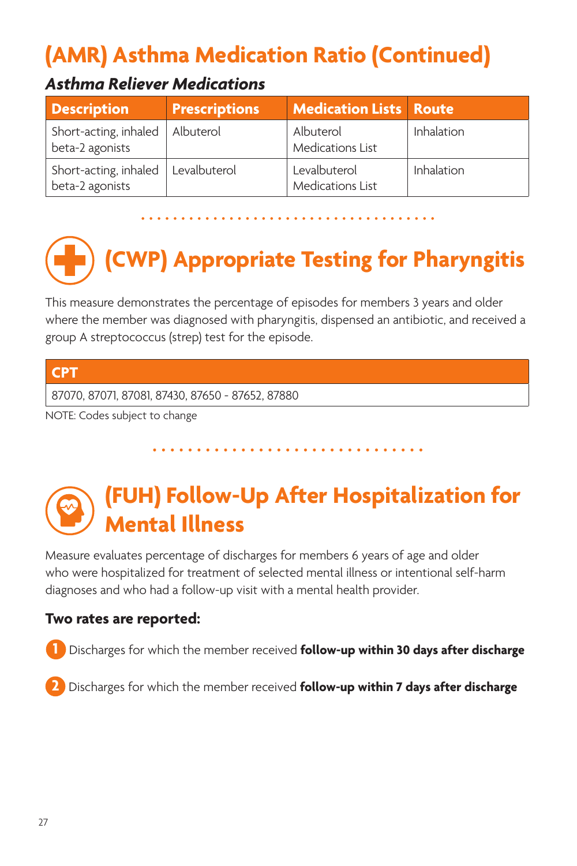## **(AMR) Asthma Medication Ratio (Continued)**

#### *Asthma Reliever Medications*

| <b>Description</b>                                      | <b>Prescriptions</b> | <b>Medication Lists Route</b>           |            |
|---------------------------------------------------------|----------------------|-----------------------------------------|------------|
| Short-acting, inhaled<br>beta-2 agonists                | Albuterol            | Albuterol<br><b>Medications List</b>    | Inhalation |
| Short-acting, inhaled   Levalbuterol<br>beta-2 agonists |                      | Levalbuterol<br><b>Medications List</b> | Inhalation |

## **(CWP) Appropriate Testing for Pharyngitis**

This measure demonstrates the percentage of episodes for members 3 years and older where the member was diagnosed with pharyngitis, dispensed an antibiotic, and received a group A streptococcus (strep) test for the episode.

#### **CPT**

87070, 87071, 87081, 87430, 87650 - 87652, 87880

NOTE: Codes subject to change

#### **(FUH) Follow-Up After Hospitalization for Mental Illness**

Measure evaluates percentage of discharges for members 6 years of age and older who were hospitalized for treatment of selected mental illness or intentional self-harm diagnoses and who had a follow-up visit with a mental health provider.

#### **Two rates are reported:**

 Discharges for which the member received **follow-up within 30 days after discharge 1**

**2** Discharges for which the member received **follow-up within 7 days after discharge**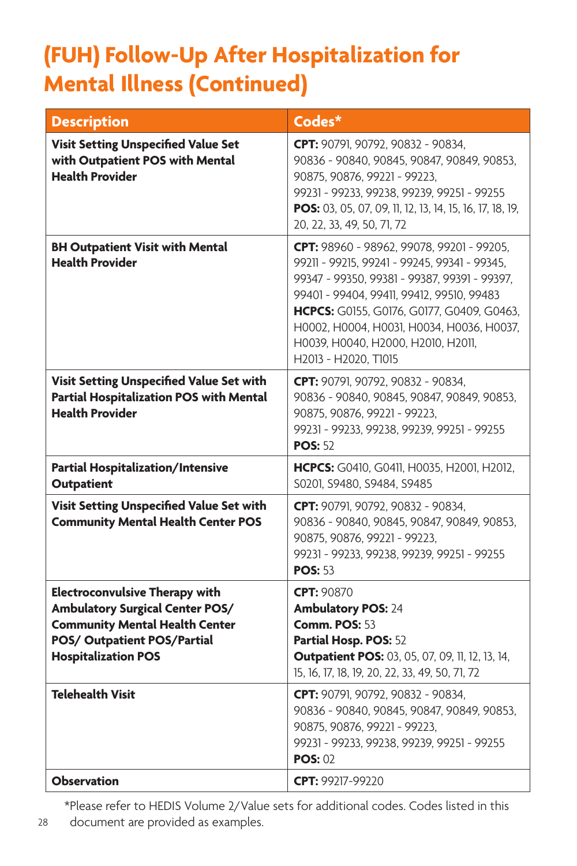### **(FUH) Follow-Up After Hospitalization for Mental Illness (Continued)**

| <b>Description</b>                                                                                                                                                                   | Codes*                                                                                                                                                                                                                                                                                                                                                |
|--------------------------------------------------------------------------------------------------------------------------------------------------------------------------------------|-------------------------------------------------------------------------------------------------------------------------------------------------------------------------------------------------------------------------------------------------------------------------------------------------------------------------------------------------------|
| <b>Visit Setting Unspecified Value Set</b><br>with Outpatient POS with Mental<br><b>Health Provider</b>                                                                              | CPT: 90791, 90792, 90832 - 90834,<br>90836 - 90840, 90845, 90847, 90849, 90853,<br>90875, 90876, 99221 - 99223,<br>99231 - 99233, 99238, 99239, 99251 - 99255<br>POS: 03, 05, 07, 09, 11, 12, 13, 14, 15, 16, 17, 18, 19,<br>20, 22, 33, 49, 50, 71, 72                                                                                               |
| <b>BH Outpatient Visit with Mental</b><br><b>Health Provider</b>                                                                                                                     | <b>CPT:</b> 98960 - 98962, 99078, 99201 - 99205,<br>99211 - 99215, 99241 - 99245, 99341 - 99345,<br>99347 - 99350, 99381 - 99387, 99391 - 99397,<br>99401 - 99404, 99411, 99412, 99510, 99483<br>HCPCS: G0155, G0176, G0177, G0409, G0463,<br>НООО2, НООО4, НООЗ1, НООЗ4, НООЗ6, НООЗ7,<br>H0039, H0040, H2000, H2010, H2011,<br>H2013 - H2020, T1015 |
| Visit Setting Unspecified Value Set with<br><b>Partial Hospitalization POS with Mental</b><br><b>Health Provider</b>                                                                 | CPT: 90791, 90792, 90832 - 90834,<br>90836 - 90840, 90845, 90847, 90849, 90853,<br>90875, 90876, 99221 - 99223,<br>99231 - 99233, 99238, 99239, 99251 - 99255<br><b>POS: 52</b>                                                                                                                                                                       |
| <b>Partial Hospitalization/Intensive</b><br><b>Outpatient</b>                                                                                                                        | <b>HCPCS:</b> G0410, G0411, H0035, H2001, H2012,<br>S0201, S9480, S9484, S9485                                                                                                                                                                                                                                                                        |
| Visit Setting Unspecified Value Set with<br><b>Community Mental Health Center POS</b>                                                                                                | CPT: 90791, 90792, 90832 - 90834,<br>90836 - 90840, 90845, 90847, 90849, 90853,<br>90875, 90876, 99221 - 99223,<br>99231 - 99233, 99238, 99239, 99251 - 99255<br><b>POS: 53</b>                                                                                                                                                                       |
| <b>Electroconvulsive Therapy with</b><br><b>Ambulatory Surgical Center POS/</b><br><b>Community Mental Health Center</b><br>POS/Outpatient POS/Partial<br><b>Hospitalization POS</b> | <b>CPT: 90870</b><br><b>Ambulatory POS: 24</b><br><b>Comm. POS: 53</b><br>Partial Hosp. POS: 52<br><b>Outpatient POS:</b> 03, 05, 07, 09, 11, 12, 13, 14,<br>15, 16, 17, 18, 19, 20, 22, 33, 49, 50, 71, 72                                                                                                                                           |
| <b>Telehealth Visit</b>                                                                                                                                                              | <b>CPT:</b> 90791, 90792, 90832 - 90834,<br>90836 - 90840, 90845, 90847, 90849, 90853,<br>90875, 90876, 99221 - 99223,<br>99231 - 99233, 99238, 99239, 99251 - 99255<br><b>POS: 02</b>                                                                                                                                                                |
| <b>Observation</b>                                                                                                                                                                   | CPT: 99217-99220                                                                                                                                                                                                                                                                                                                                      |

\*Please refer to HEDIS Volume 2/Value sets for additional codes. Codes listed in this 28 document are provided as examples.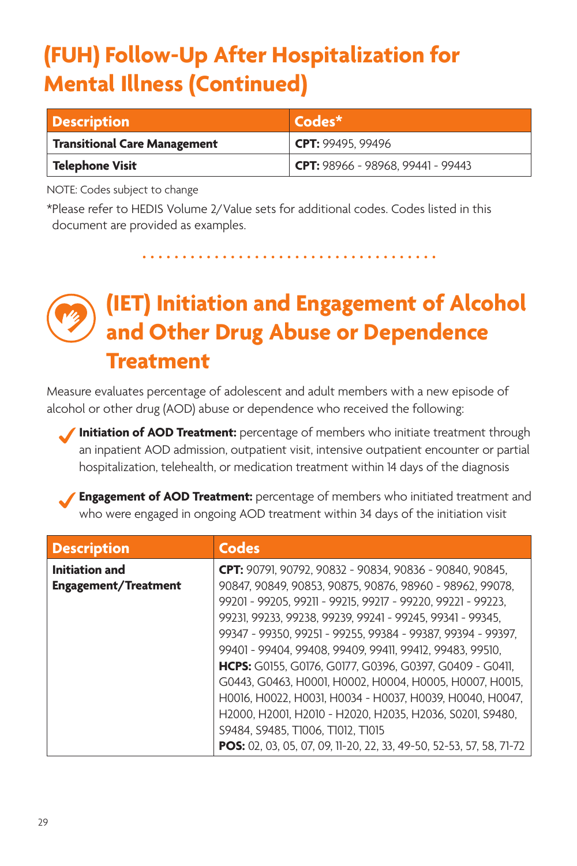#### **(FUH) Follow-Up After Hospitalization for Mental Illness (Continued)**

| <b>Description</b>                  | Codes*                              |
|-------------------------------------|-------------------------------------|
| <b>Transitional Care Management</b> | CPT: 99495.99496                    |
| Telephone Visit                     | CPT: $98966 - 98968, 99441 - 99443$ |

NOTE: Codes subject to change

\*Please refer to HEDIS Volume 2/Value sets for additional codes. Codes listed in this document are provided as examples.

#### **(IET) Initiation and Engagement of Alcohol and Other Drug Abuse or Dependence Treatment**

Measure evaluates percentage of adolescent and adult members with a new episode of alcohol or other drug (AOD) abuse or dependence who received the following:

**Initiation of AOD Treatment:** percentage of members who initiate treatment through an inpatient AOD admission, outpatient visit, intensive outpatient encounter or partial hospitalization, telehealth, or medication treatment within 14 days of the diagnosis

 **Engagement of AOD Treatment:** percentage of members who initiated treatment and who were engaged in ongoing AOD treatment within 34 days of the initiation visit

| <b>Description</b>          | <b>Codes</b>                                                               |
|-----------------------------|----------------------------------------------------------------------------|
| Initiation and              | CPT: 90791, 90792, 90832 - 90834, 90836 - 90840, 90845,                    |
| <b>Engagement/Treatment</b> | 90847, 90849, 90853, 90875, 90876, 98960 - 98962, 99078,                   |
|                             | 99201 - 99205, 99211 - 99215, 99217 - 99220, 99221 - 99223,                |
|                             | 99231, 99233, 99238, 99239, 99241 - 99245, 99341 - 99345,                  |
|                             | 99347 - 99350, 99251 - 99255, 99384 - 99387, 99394 - 99397,                |
|                             | 99401 - 99404, 99408, 99409, 99411, 99412, 99483, 99510,                   |
|                             | HCPS: G0155, G0176, G0177, G0396, G0397, G0409 - G0411,                    |
|                             | G0443, G0463, H0001, H0002, H0004, H0005, H0007, H0015,                    |
|                             | НОО16, НОО22, НОО31, НОО34 - НОО37, НОО39, НОО40, НОО47,                   |
|                             | H2000, H2001, H2010 - H2020, H2035, H2036, S0201, S9480,                   |
|                             | S9484, S9485, T1006, T1012, T1015                                          |
|                             | <b>POS:</b> 02, 03, 05, 07, 09, 11-20, 22, 33, 49-50, 52-53, 57, 58, 71-72 |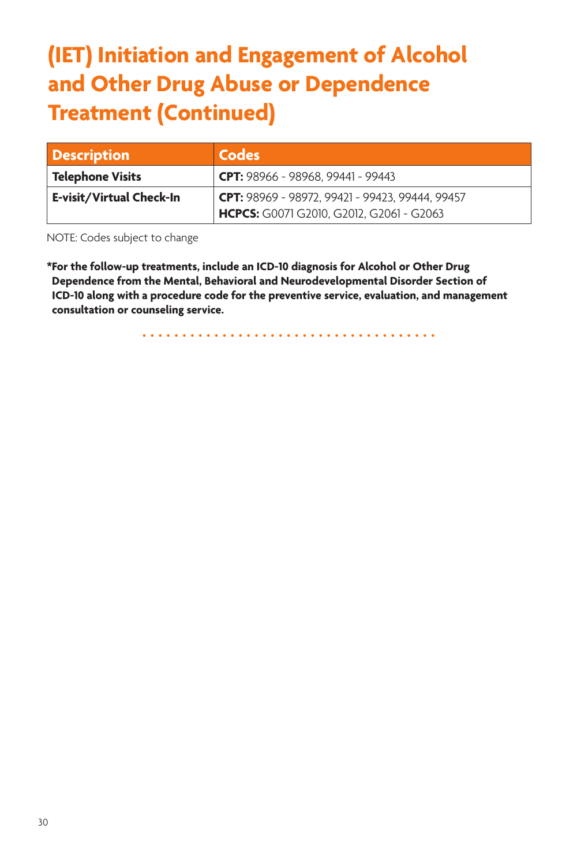#### **(IET) Initiation and Engagement of Alcohol and Other Drug Abuse or Dependence Treatment (Continued)**

| <b>Description</b>              | <b>Codes</b>                                           |
|---------------------------------|--------------------------------------------------------|
| Telephone Visits                | <b>CPT:</b> 98966 - 98968, 99441 - 99443               |
| <b>E-visit/Virtual Check-In</b> | <b>CPT:</b> 98969 - 98972, 99421 - 99423, 99444, 99457 |
|                                 | <b>HCPCS:</b> G0071 G2010, G2012, G2061 - G2063        |

NOTE: Codes subject to change

**\*For the follow-up treatments, include an ICD-10 diagnosis for Alcohol or Other Drug Dependence from the Mental, Behavioral and Neurodevelopmental Disorder Section of ICD-10 along with a procedure code for the preventive service, evaluation, and management consultation or counseling service.**